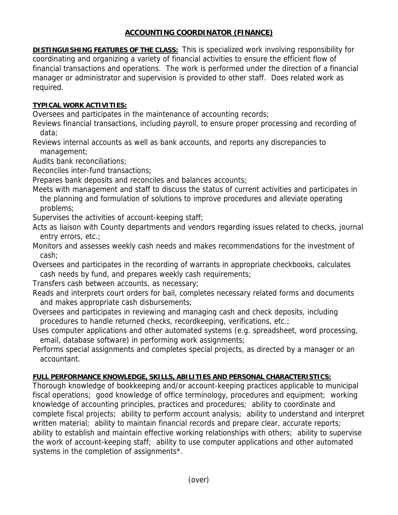## **ACCOUNTING COORDINATOR (FINANCE)**

**DISTINGUISHING FEATURES OF THE CLASS:** This is specialized work involving responsibility for coordinating and organizing a variety of financial activities to ensure the efficient flow of financial transactions and operations. The work is performed under the direction of a financial manager or administrator and supervision is provided to other staff. Does related work as required.

## **TYPICAL WORK ACTIVITIES:**

Oversees and participates in the maintenance of accounting records;

Reviews financial transactions, including payroll, to ensure proper processing and recording of data;

Reviews internal accounts as well as bank accounts, and reports any discrepancies to management;

Audits bank reconciliations;

Reconciles inter-fund transactions;

Prepares bank deposits and reconciles and balances accounts;

Meets with management and staff to discuss the status of current activities and participates in the planning and formulation of solutions to improve procedures and alleviate operating problems;

Supervises the activities of account-keeping staff;

Acts as liaison with County departments and vendors regarding issues related to checks, journal entry errors, etc.;

Monitors and assesses weekly cash needs and makes recommendations for the investment of cash;

Oversees and participates in the recording of warrants in appropriate checkbooks, calculates cash needs by fund, and prepares weekly cash requirements;

Transfers cash between accounts, as necessary;

Reads and interprets court orders for bail, completes necessary related forms and documents and makes appropriate cash disbursements;

Oversees and participates in reviewing and managing cash and check deposits, including procedures to handle returned checks, recordkeeping, verifications, etc.;

Uses computer applications and other automated systems (e.g. spreadsheet, word processing, email, database software) in performing work assignments;

Performs special assignments and completes special projects, as directed by a manager or an accountant.

## **FULL PERFORMANCE KNOWLEDGE, SKILLS, ABILITIES AND PERSONAL CHARACTERISTICS:**

Thorough knowledge of bookkeeping and/or account-keeping practices applicable to municipal fiscal operations; good knowledge of office terminology, procedures and equipment; working knowledge of accounting principles, practices and procedures; ability to coordinate and complete fiscal projects; ability to perform account analysis; ability to understand and interpret written material; ability to maintain financial records and prepare clear, accurate reports; ability to establish and maintain effective working relationships with others; ability to supervise the work of account-keeping staff; ability to use computer applications and other automated systems in the completion of assignments<sup>\*</sup>.